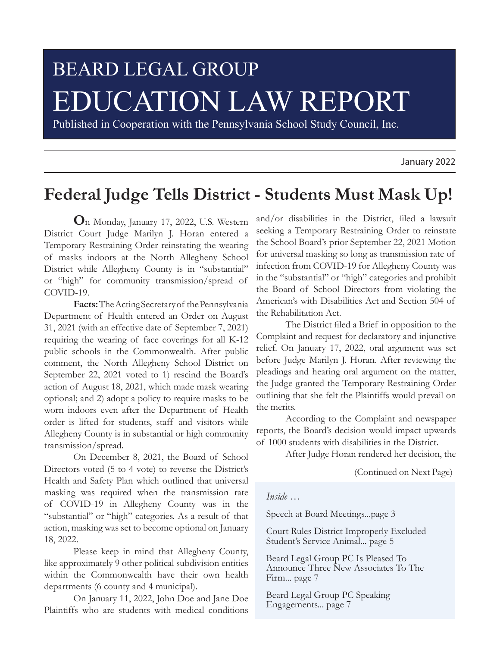# BEARD LEGAL GROUP EDUCATION LAW REPORT

Published in Cooperation with the Pennsylvania School Study Council, Inc.

January 2022

# **Federal Judge Tells District - Students Must Mask Up!**

**O**n Monday, January 17, 2022, U.S. Western District Court Judge Marilyn J. Horan entered a Temporary Restraining Order reinstating the wearing of masks indoors at the North Allegheny School District while Allegheny County is in "substantial" or "high" for community transmission/spread of COVID-19.

**Facts:** The Acting Secretary of the Pennsylvania Department of Health entered an Order on August 31, 2021 (with an effective date of September 7, 2021) requiring the wearing of face coverings for all K-12 public schools in the Commonwealth. After public comment, the North Allegheny School District on September 22, 2021 voted to 1) rescind the Board's action of August 18, 2021, which made mask wearing optional; and 2) adopt a policy to require masks to be worn indoors even after the Department of Health order is lifted for students, staff and visitors while Allegheny County is in substantial or high community transmission/spread.

On December 8, 2021, the Board of School Directors voted (5 to 4 vote) to reverse the District's Health and Safety Plan which outlined that universal masking was required when the transmission rate of COVID-19 in Allegheny County was in the "substantial" or "high" categories. As a result of that action, masking was set to become optional on January 18, 2022.

Please keep in mind that Allegheny County, like approximately 9 other political subdivision entities within the Commonwealth have their own health departments (6 county and 4 municipal).

On January 11, 2022, John Doe and Jane Doe Plaintiffs who are students with medical conditions

and/or disabilities in the District, filed a lawsuit seeking a Temporary Restraining Order to reinstate the School Board's prior September 22, 2021 Motion for universal masking so long as transmission rate of infection from COVID-19 for Allegheny County was in the "substantial" or "high" categories and prohibit the Board of School Directors from violating the American's with Disabilities Act and Section 504 of the Rehabilitation Act.

The District filed a Brief in opposition to the Complaint and request for declaratory and injunctive relief. On January 17, 2022, oral argument was set before Judge Marilyn J. Horan. After reviewing the pleadings and hearing oral argument on the matter, the Judge granted the Temporary Restraining Order outlining that she felt the Plaintiffs would prevail on the merits.

According to the Complaint and newspaper reports, the Board's decision would impact upwards of 1000 students with disabilities in the District.

After Judge Horan rendered her decision, the

(Continued on Next Page)

#### *Inside …*

Speech at Board Meetings...page 3

Court Rules District Improperly Excluded Student's Service Animal... page 5

Beard Legal Group PC Is Pleased To Announce Three New Associates To The Firm... page 7

Beard Legal Group PC Speaking Engagements... page 7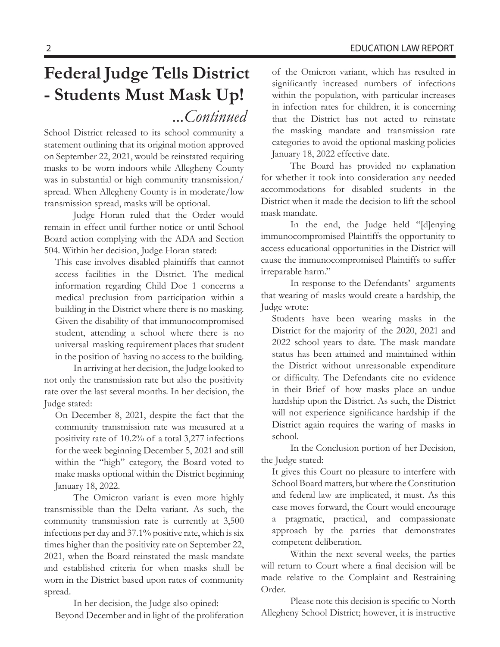School District released to its school community a statement outlining that its original motion approved on September 22, 2021, would be reinstated requiring masks to be worn indoors while Allegheny County was in substantial or high community transmission/ spread. When Allegheny County is in moderate/low transmission spread, masks will be optional.

Judge Horan ruled that the Order would remain in effect until further notice or until School Board action complying with the ADA and Section 504. Within her decision, Judge Horan stated:

This case involves disabled plaintiffs that cannot access facilities in the District. The medical information regarding Child Doe 1 concerns a medical preclusion from participation within a building in the District where there is no masking. Given the disability of that immunocompromised student, attending a school where there is no universal masking requirement places that student in the position of having no access to the building.

In arriving at her decision, the Judge looked to not only the transmission rate but also the positivity rate over the last several months. In her decision, the Judge stated:

On December 8, 2021, despite the fact that the community transmission rate was measured at a positivity rate of 10.2% of a total 3,277 infections for the week beginning December 5, 2021 and still within the "high" category, the Board voted to make masks optional within the District beginning January 18, 2022.

The Omicron variant is even more highly transmissible than the Delta variant. As such, the community transmission rate is currently at 3,500 infections per day and 37.1% positive rate, which is six times higher than the positivity rate on September 22, 2021, when the Board reinstated the mask mandate and established criteria for when masks shall be worn in the District based upon rates of community spread.

In her decision, the Judge also opined: Beyond December and in light of the proliferation of the Omicron variant, which has resulted in significantly increased numbers of infections within the population, with particular increases in infection rates for children, it is concerning that the District has not acted to reinstate the masking mandate and transmission rate categories to avoid the optional masking policies January 18, 2022 effective date.

The Board has provided no explanation for whether it took into consideration any needed accommodations for disabled students in the District when it made the decision to lift the school mask mandate.

In the end, the Judge held "[d]enying immunocompromised Plaintiffs the opportunity to access educational opportunities in the District will cause the immunocompromised Plaintiffs to suffer irreparable harm."

In response to the Defendants' arguments that wearing of masks would create a hardship, the Judge wrote:

Students have been wearing masks in the District for the majority of the 2020, 2021 and 2022 school years to date. The mask mandate status has been attained and maintained within the District without unreasonable expenditure or difficulty. The Defendants cite no evidence in their Brief of how masks place an undue hardship upon the District. As such, the District will not experience significance hardship if the District again requires the waring of masks in school.

In the Conclusion portion of her Decision, the Judge stated:

It gives this Court no pleasure to interfere with School Board matters, but where the Constitution and federal law are implicated, it must. As this case moves forward, the Court would encourage a pragmatic, practical, and compassionate approach by the parties that demonstrates competent deliberation.

Within the next several weeks, the parties will return to Court where a final decision will be made relative to the Complaint and Restraining Order.

Please note this decision is specific to North Allegheny School District; however, it is instructive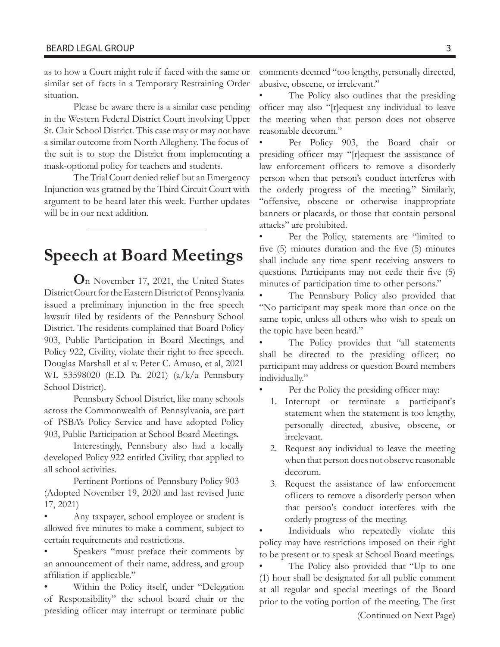as to how a Court might rule if faced with the same or similar set of facts in a Temporary Restraining Order situation.

Please be aware there is a similar case pending in the Western Federal District Court involving Upper St. Clair School District. This case may or may not have a similar outcome from North Allegheny. The focus of the suit is to stop the District from implementing a mask-optional policy for teachers and students.

The Trial Court denied relief but an Emergency Injunction was gratned by the Third Circuit Court with argument to be heard later this week. Further updates will be in our next addition.

### **Speech at Board Meetings**

**O**n November 17, 2021, the United States District Court for the Eastern District of Pennsylvania issued a preliminary injunction in the free speech lawsuit filed by residents of the Pennsbury School District. The residents complained that Board Policy 903, Public Participation in Board Meetings, and Policy 922, Civility, violate their right to free speech. Douglas Marshall et al v. Peter C. Amuso, et al, 2021 WL 53598020 (E.D. Pa. 2021) (a/k/a Pennsbury School District).

Pennsbury School District, like many schools across the Commonwealth of Pennsylvania, are part of PSBA's Policy Service and have adopted Policy 903, Public Participation at School Board Meetings.

Interestingly, Pennsbury also had a locally developed Policy 922 entitled Civility, that applied to all school activities.

Pertinent Portions of Pennsbury Policy 903 (Adopted November 19, 2020 and last revised June 17, 2021)

• Any taxpayer, school employee or student is allowed five minutes to make a comment, subject to certain requirements and restrictions.

Speakers "must preface their comments by an announcement of their name, address, and group affiliation if applicable."

Within the Policy itself, under "Delegation of Responsibility" the school board chair or the presiding officer may interrupt or terminate public comments deemed "too lengthy, personally directed, abusive, obscene, or irrelevant."

The Policy also outlines that the presiding officer may also "[r]equest any individual to leave the meeting when that person does not observe reasonable decorum."

Per Policy 903, the Board chair or presiding officer may "[r]equest the assistance of law enforcement officers to remove a disorderly person when that person's conduct interferes with the orderly progress of the meeting." Similarly, "offensive, obscene or otherwise inappropriate banners or placards, or those that contain personal attacks" are prohibited.

• Per the Policy, statements are "limited to five (5) minutes duration and the five (5) minutes shall include any time spent receiving answers to questions. Participants may not cede their five (5) minutes of participation time to other persons."

The Pennsbury Policy also provided that "No participant may speak more than once on the same topic, unless all others who wish to speak on the topic have been heard."

The Policy provides that "all statements" shall be directed to the presiding officer; no participant may address or question Board members individually."

Per the Policy the presiding officer may:

- 1. Interrupt or terminate a participant's statement when the statement is too lengthy, personally directed, abusive, obscene, or irrelevant.
- 2. Request any individual to leave the meeting when that person does not observe reasonable decorum.
- 3. Request the assistance of law enforcement officers to remove a disorderly person when that person's conduct interferes with the orderly progress of the meeting.

Individuals who repeatedly violate this policy may have restrictions imposed on their right to be present or to speak at School Board meetings.

• The Policy also provided that "Up to one (1) hour shall be designated for all public comment at all regular and special meetings of the Board prior to the voting portion of the meeting. The first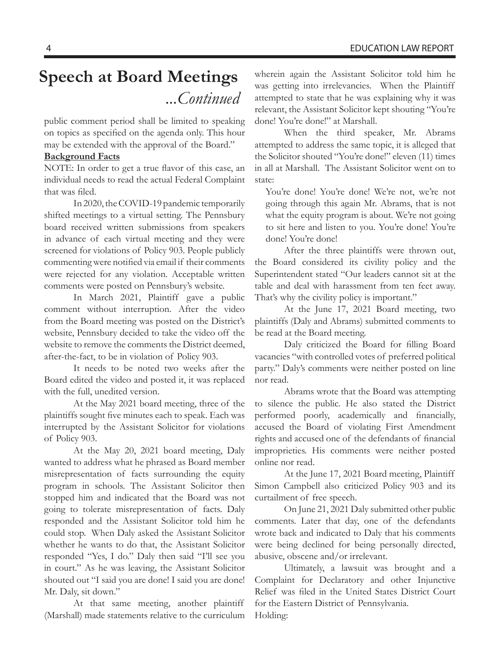# **Speech at Board Meetings**  *...Continued*

public comment period shall be limited to speaking on topics as specified on the agenda only. This hour may be extended with the approval of the Board."

#### **Background Facts**

NOTE: In order to get a true flavor of this case, an individual needs to read the actual Federal Complaint that was filed.

In 2020, the COVID-19 pandemic temporarily shifted meetings to a virtual setting. The Pennsbury board received written submissions from speakers in advance of each virtual meeting and they were screened for violations of Policy 903. People publicly commenting were notified via email if their comments were rejected for any violation. Acceptable written comments were posted on Pennsbury's website.

In March 2021, Plaintiff gave a public comment without interruption. After the video from the Board meeting was posted on the District's website, Pennsbury decided to take the video off the website to remove the comments the District deemed, after-the-fact, to be in violation of Policy 903.

It needs to be noted two weeks after the Board edited the video and posted it, it was replaced with the full, unedited version.

At the May 2021 board meeting, three of the plaintiffs sought five minutes each to speak. Each was interrupted by the Assistant Solicitor for violations of Policy 903.

At the May 20, 2021 board meeting, Daly wanted to address what he phrased as Board member misrepresentation of facts surrounding the equity program in schools. The Assistant Solicitor then stopped him and indicated that the Board was not going to tolerate misrepresentation of facts. Daly responded and the Assistant Solicitor told him he could stop. When Daly asked the Assistant Solicitor whether he wants to do that, the Assistant Solicitor responded "Yes, I do." Daly then said "I'll see you in court." As he was leaving, the Assistant Solicitor shouted out "I said you are done! I said you are done! Mr. Daly, sit down."

At that same meeting, another plaintiff (Marshall) made statements relative to the curriculum wherein again the Assistant Solicitor told him he was getting into irrelevancies. When the Plaintiff attempted to state that he was explaining why it was relevant, the Assistant Solicitor kept shouting "You're done! You're done!" at Marshall.

When the third speaker, Mr. Abrams attempted to address the same topic, it is alleged that the Solicitor shouted "You're done!" eleven (11) times in all at Marshall. The Assistant Solicitor went on to state:

You're done! You're done! We're not, we're not going through this again Mr. Abrams, that is not what the equity program is about. We're not going to sit here and listen to you. You're done! You're done! You're done!

After the three plaintiffs were thrown out, the Board considered its civility policy and the Superintendent stated "Our leaders cannot sit at the table and deal with harassment from ten feet away. That's why the civility policy is important."

At the June 17, 2021 Board meeting, two plaintiffs (Daly and Abrams) submitted comments to be read at the Board meeting.

Daly criticized the Board for filling Board vacancies "with controlled votes of preferred political party." Daly's comments were neither posted on line nor read.

Abrams wrote that the Board was attempting to silence the public. He also stated the District performed poorly, academically and financially, accused the Board of violating First Amendment rights and accused one of the defendants of financial improprieties. His comments were neither posted online nor read.

At the June 17, 2021 Board meeting, Plaintiff Simon Campbell also criticized Policy 903 and its curtailment of free speech.

On June 21, 2021 Daly submitted other public comments. Later that day, one of the defendants wrote back and indicated to Daly that his comments were being declined for being personally directed, abusive, obscene and/or irrelevant.

Ultimately, a lawsuit was brought and a Complaint for Declaratory and other Injunctive Relief was filed in the United States District Court for the Eastern District of Pennsylvania. Holding: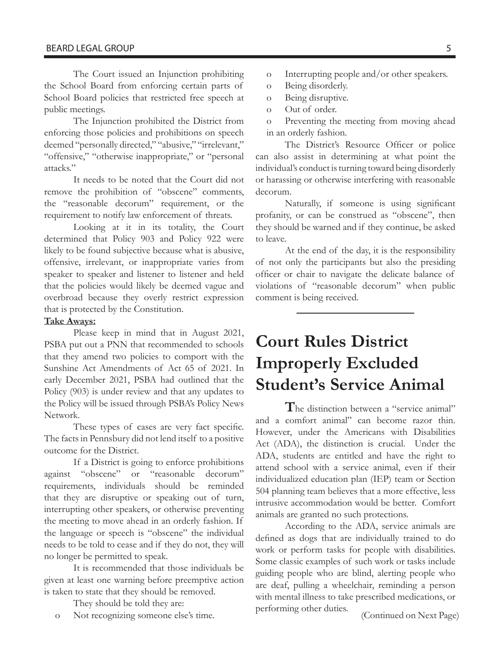The Court issued an Injunction prohibiting the School Board from enforcing certain parts of School Board policies that restricted free speech at public meetings.

The Injunction prohibited the District from enforcing those policies and prohibitions on speech deemed "personally directed," "abusive," "irrelevant," "offensive," "otherwise inappropriate," or "personal attacks."

It needs to be noted that the Court did not remove the prohibition of "obscene" comments, the "reasonable decorum" requirement, or the requirement to notify law enforcement of threats.

Looking at it in its totality, the Court determined that Policy 903 and Policy 922 were likely to be found subjective because what is abusive, offensive, irrelevant, or inappropriate varies from speaker to speaker and listener to listener and held that the policies would likely be deemed vague and overbroad because they overly restrict expression that is protected by the Constitution.

#### **Take Aways:**

Please keep in mind that in August 2021, PSBA put out a PNN that recommended to schools that they amend two policies to comport with the Sunshine Act Amendments of Act 65 of 2021. In early December 2021, PSBA had outlined that the Policy (903) is under review and that any updates to the Policy will be issued through PSBA's Policy News Network.

These types of cases are very fact specific. The facts in Pennsbury did not lend itself to a positive outcome for the District.

If a District is going to enforce prohibitions against "obscene" or "reasonable decorum" requirements, individuals should be reminded that they are disruptive or speaking out of turn, interrupting other speakers, or otherwise preventing the meeting to move ahead in an orderly fashion. If the language or speech is "obscene" the individual needs to be told to cease and if they do not, they will no longer be permitted to speak.

It is recommended that those individuals be given at least one warning before preemptive action is taken to state that they should be removed.

They should be told they are:

o Not recognizing someone else's time.

- o Interrupting people and/or other speakers.
- o Being disorderly.
- o Being disruptive.
- o Out of order.

o Preventing the meeting from moving ahead in an orderly fashion.

The District's Resource Officer or police can also assist in determining at what point the individual's conduct is turning toward being disorderly or harassing or otherwise interfering with reasonable decorum.

Naturally, if someone is using significant profanity, or can be construed as "obscene", then they should be warned and if they continue, be asked to leave.

At the end of the day, it is the responsibility of not only the participants but also the presiding officer or chair to navigate the delicate balance of violations of "reasonable decorum" when public comment is being received.

# **Court Rules District Improperly Excluded Student's Service Animal**

**T**he distinction between a "service animal" and a comfort animal" can become razor thin. However, under the Americans with Disabilities Act (ADA), the distinction is crucial. Under the ADA, students are entitled and have the right to attend school with a service animal, even if their individualized education plan (IEP) team or Section 504 planning team believes that a more effective, less intrusive accommodation would be better. Comfort animals are granted no such protections.

According to the ADA, service animals are defined as dogs that are individually trained to do work or perform tasks for people with disabilities. Some classic examples of such work or tasks include guiding people who are blind, alerting people who are deaf, pulling a wheelchair, reminding a person with mental illness to take prescribed medications, or performing other duties. (Continued on Next Page)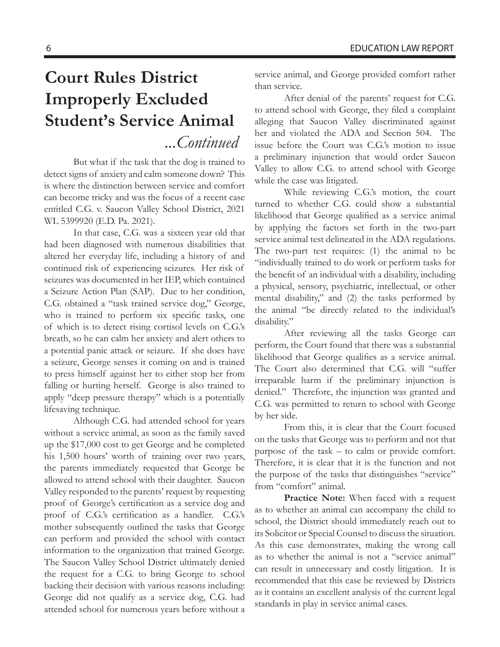# **Court Rules District Improperly Excluded Student's Service Animal**  *...Continued*

But what if the task that the dog is trained to detect signs of anxiety and calm someone down? This is where the distinction between service and comfort can become tricky and was the focus of a recent case entitled C.G. v. Saucon Valley School District, 2021 WL 5399920 (E.D. Pa. 2021).

In that case, C.G. was a sixteen year old that had been diagnosed with numerous disabilities that altered her everyday life, including a history of and continued risk of experiencing seizures. Her risk of seizures was documented in her IEP, which contained a Seizure Action Plan (SAP). Due to her condition, C.G. obtained a "task trained service dog," George, who is trained to perform six specific tasks, one of which is to detect rising cortisol levels on C.G.'s breath, so he can calm her anxiety and alert others to a potential panic attack or seizure. If she does have a seizure, George senses it coming on and is trained to press himself against her to either stop her from falling or hurting herself. George is also trained to apply "deep pressure therapy" which is a potentially lifesaving technique.

Although C.G. had attended school for years without a service animal, as soon as the family saved up the \$17,000 cost to get George and he completed his 1,500 hours' worth of training over two years, the parents immediately requested that George be allowed to attend school with their daughter. Saucon Valley responded to the parents' request by requesting proof of George's certification as a service dog and proof of C.G.'s certification as a handler. C.G.'s mother subsequently outlined the tasks that George can perform and provided the school with contact information to the organization that trained George. The Saucon Valley School District ultimately denied the request for a C.G. to bring George to school backing their decision with various reasons including: George did not qualify as a service dog, C.G. had attended school for numerous years before without a

service animal, and George provided comfort rather than service.

After denial of the parents' request for C.G. to attend school with George, they filed a complaint alleging that Saucon Valley discriminated against her and violated the ADA and Section 504. The issue before the Court was C.G.'s motion to issue a preliminary injunction that would order Saucon Valley to allow C.G. to attend school with George while the case was litigated.

While reviewing C.G.'s motion, the court turned to whether C.G. could show a substantial likelihood that George qualified as a service animal by applying the factors set forth in the two-part service animal test delineated in the ADA regulations. The two-part test requires: (1) the animal to be "individually trained to do work or perform tasks for the benefit of an individual with a disability, including a physical, sensory, psychiatric, intellectual, or other mental disability," and (2) the tasks performed by the animal "be directly related to the individual's disability."

After reviewing all the tasks George can perform, the Court found that there was a substantial likelihood that George qualifies as a service animal. The Court also determined that C.G. will "suffer irreparable harm if the preliminary injunction is denied." Therefore, the injunction was granted and C.G. was permitted to return to school with George by her side.

From this, it is clear that the Court focused on the tasks that George was to perform and not that purpose of the task – to calm or provide comfort. Therefore, it is clear that it is the function and not the purpose of the tasks that distinguishes "service" from "comfort" animal.

**Practice Note:** When faced with a request as to whether an animal can accompany the child to school, the District should immediately reach out to its Solicitor or Special Counsel to discuss the situation. As this case demonstrates, making the wrong call as to whether the animal is not a "service animal" can result in unnecessary and costly litigation. It is recommended that this case be reviewed by Districts as it contains an excellent analysis of the current legal standards in play in service animal cases.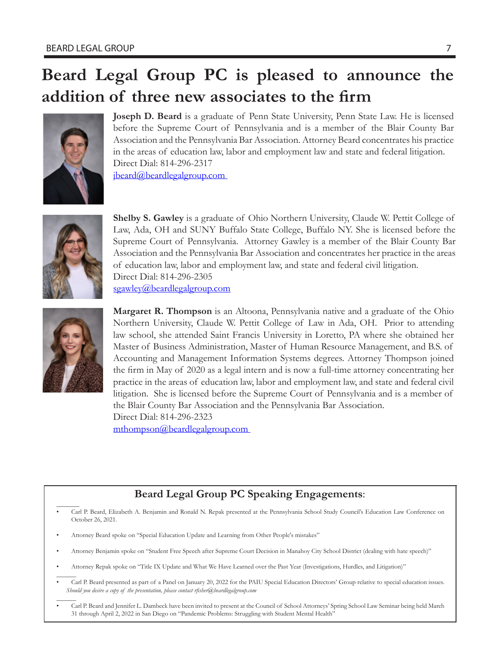# **Beard Legal Group PC is pleased to announce the addition of three new associates to the firm**



**Joseph D. Beard** is a graduate of Penn State University, Penn State Law. He is licensed before the Supreme Court of Pennsylvania and is a member of the Blair County Bar Association and the Pennsylvania Bar Association. Attorney Beard concentrates his practice in the areas of education law, labor and employment law and state and federal litigation. Direct Dial: 814-296-2317 jbeard@beardlegalgroup.com



**Shelby S. Gawley** is a graduate of Ohio Northern University, Claude W. Pettit College of Law, Ada, OH and SUNY Buffalo State College, Buffalo NY. She is licensed before the Supreme Court of Pennsylvania. Attorney Gawley is a member of the Blair County Bar Association and the Pennsylvania Bar Association and concentrates her practice in the areas of education law, labor and employment law, and state and federal civil litigation. Direct Dial: 814-296-2305 sgawley@beardlegalgroup.com



**Margaret R. Thompson** is an Altoona, Pennsylvania native and a graduate of the Ohio Northern University, Claude W. Pettit College of Law in Ada, OH. Prior to attending law school, she attended Saint Francis University in Loretto, PA where she obtained her Master of Business Administration, Master of Human Resource Management, and B.S. of Accounting and Management Information Systems degrees. Attorney Thompson joined the firm in May of 2020 as a legal intern and is now a full-time attorney concentrating her practice in the areas of education law, labor and employment law, and state and federal civil litigation. She is licensed before the Supreme Court of Pennsylvania and is a member of the Blair County Bar Association and the Pennsylvania Bar Association. Direct Dial: 814-296-2323

mthompson@beardlegalgroup.com

### **Beard Legal Group PC Speaking Engagements**:

- $\overline{\phantom{a}}$ • Carl P. Beard, Elizabeth A. Benjamin and Ronald N. Repak presented at the Pennsylvania School Study Council's Education Law Conference on October 26, 2021.
- Attorney Beard spoke on "Special Education Update and Learning from Other People's mistakes"
- Attorney Benjamin spoke on "Student Free Speech after Supreme Court Decision in Manahoy City School District (dealing with hate speech)"
- Attorney Repak spoke on "Title IX Update and What We Have Learned over the Past Year (Investigations, Hurdles, and Litigation)"
- $\overline{\phantom{a}}$ • Carl P. Beard presented as part of a Panel on January 20, 2022 for the PAIU Special Education Directors' Group relative to special education issues. *Should you desire a copy of the presentation, please contact rfisher@beardlegalgroup.com*
- $\overline{\phantom{a}}$ • Carl P. Beard and Jennifer L. Dambeck have been invited to present at the Council of School Attorneys' Spring School Law Seminar being held March 31 through April 2, 2022 in San Diego on "Pandemic Problems: Struggling with Student Mental Health"